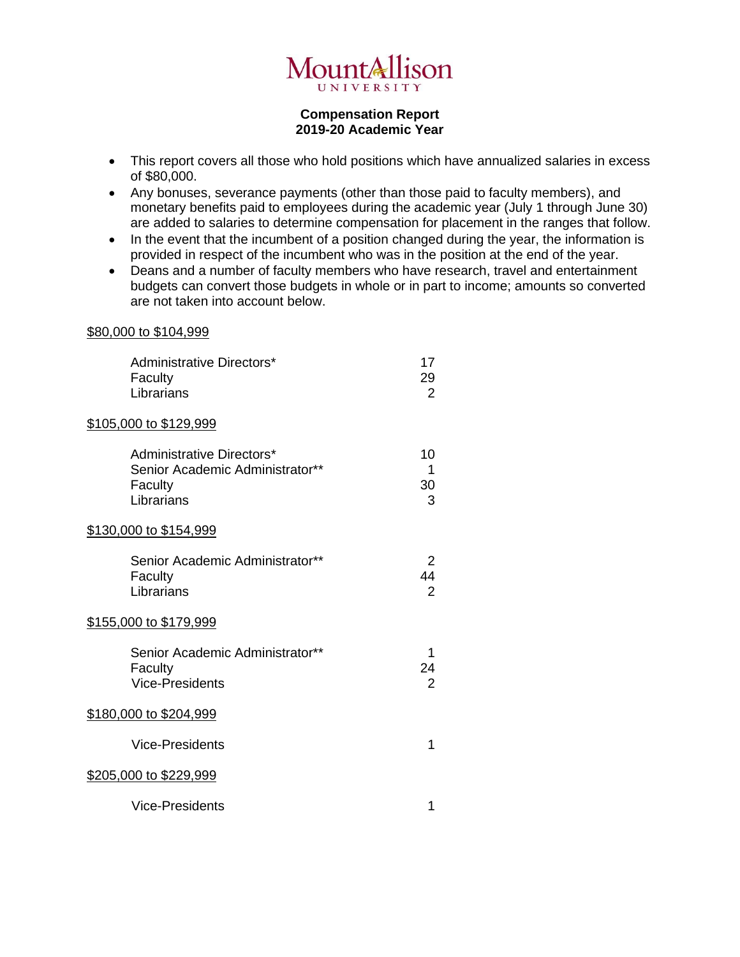

## **Compensation Report 2019-20 Academic Year**

- This report covers all those who hold positions which have annualized salaries in excess of \$80,000.
- Any bonuses, severance payments (other than those paid to faculty members), and monetary benefits paid to employees during the academic year (July 1 through June 30) are added to salaries to determine compensation for placement in the ranges that follow.
- In the event that the incumbent of a position changed during the year, the information is provided in respect of the incumbent who was in the position at the end of the year.
- Deans and a number of faculty members who have research, travel and entertainment budgets can convert those budgets in whole or in part to income; amounts so converted are not taken into account below.

## \$80,000 to \$104,999

| Administrative Directors*<br>Faculty<br>Librarians                                    | 17<br>29<br>$\overline{2}$ |
|---------------------------------------------------------------------------------------|----------------------------|
| <u>\$105,000 to \$129,999</u>                                                         |                            |
| Administrative Directors*<br>Senior Academic Administrator**<br>Faculty<br>Librarians | 10<br>1<br>30<br>3         |
| <u>\$130,000 to \$154,999</u>                                                         |                            |
| Senior Academic Administrator**<br>Faculty<br>Librarians                              | 2<br>44<br>$\overline{2}$  |
| <u>\$155,000 to \$179,999</u>                                                         |                            |
| Senior Academic Administrator**<br>Faculty<br><b>Vice-Presidents</b>                  | 1<br>24<br>$\overline{2}$  |
| <u>\$180,000 to \$204,999</u>                                                         |                            |
| <b>Vice-Presidents</b>                                                                | 1                          |
| <u>\$205,000 to \$229,999</u>                                                         |                            |
| <b>Vice-Presidents</b>                                                                | 1                          |